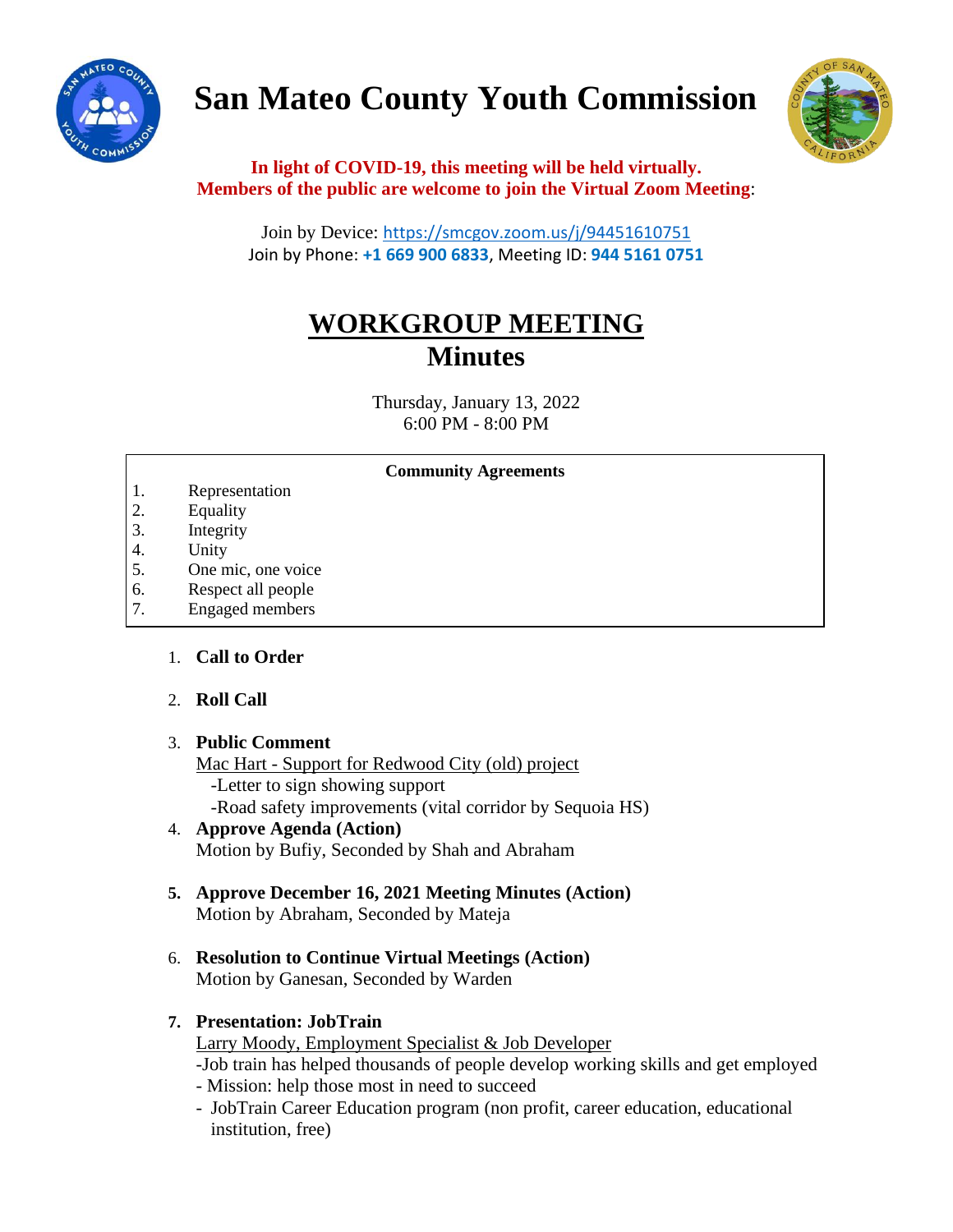

# **San Mateo County Youth Commission**



## **In light of COVID-19, this meeting will be held virtually. Members of the public are welcome to join the Virtual Zoom Meeting**:

Join by Device: <https://smcgov.zoom.us/j/94451610751> Join by Phone: **+1 669 900 6833**, Meeting ID: **944 5161 0751**

## **WORKGROUP MEETING Minutes**

Thursday, January 13, 2022 6:00 PM - 8:00 PM

## **Community Agreements**

- 1. Representation
- 2. Equality
- 3. Integrity
- 4. Unity
- 5. One mic, one voice
- 6. Respect all people
- 7. Engaged members 8. Leadership and empowerment

#### 1. **Call to Order**  $10.$  Call to Organizations with  $\frac{1}{2}$

#### 2. **Roll Call**  $1.01$   $\mu$  m  $\mu$

## 3. Public Comment

Mac Hart - Support for Redwood City (old) project -Letter to sign showing support -Road safety improvements (vital corridor by Sequoia HS)

## 4. **Approve Agenda (Action)** Motion by Bufiy, Seconded by Shah and Abraham

- **5. Approve December 16, 2021 Meeting Minutes (Action)** Motion by Abraham, Seconded by Mateja
- 6. **Resolution to Continue Virtual Meetings (Action)** Motion by Ganesan, Seconded by Warden

## **7. Presentation: JobTrain**

Larry Moody, Employment Specialist & Job Developer -Job train has helped thousands of people develop working skills and get employed

- Mission: help those most in need to succeed
- JobTrain Career Education program (non profit, career education, educational institution, free)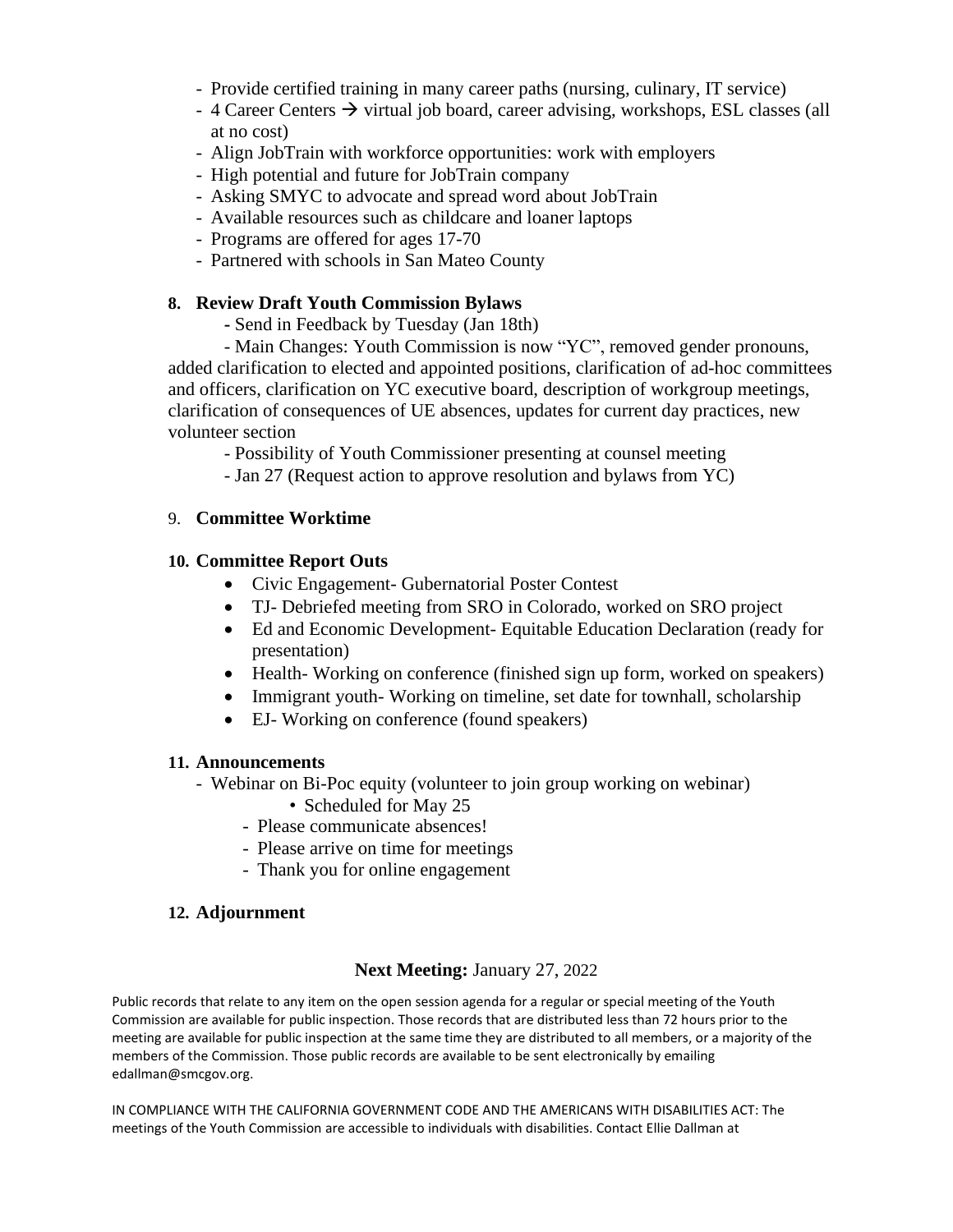- Provide certified training in many career paths (nursing, culinary, IT service)
- 4 Career Centers  $\rightarrow$  virtual job board, career advising, workshops, ESL classes (all at no cost)
- Align JobTrain with workforce opportunities: work with employers
- High potential and future for JobTrain company
- Asking SMYC to advocate and spread word about JobTrain
- Available resources such as childcare and loaner laptops
- Programs are offered for ages 17-70
- Partnered with schools in San Mateo County

## **8. Review Draft Youth Commission Bylaws**

**-** Send in Feedback by Tuesday (Jan 18th)

- Main Changes: Youth Commission is now "YC", removed gender pronouns, added clarification to elected and appointed positions, clarification of ad-hoc committees and officers, clarification on YC executive board, description of workgroup meetings, clarification of consequences of UE absences, updates for current day practices, new volunteer section

- Possibility of Youth Commissioner presenting at counsel meeting

- Jan 27 (Request action to approve resolution and bylaws from YC)

## 9. **Committee Worktime**

## **10. Committee Report Outs**

- Civic Engagement- Gubernatorial Poster Contest
- TJ- Debriefed meeting from SRO in Colorado, worked on SRO project
- Ed and Economic Development- Equitable Education Declaration (ready for presentation)
- Health-Working on conference (finished sign up form, worked on speakers)
- Immigrant youth-Working on timeline, set date for townhall, scholarship
- EJ- Working on conference (found speakers)

## **11. Announcements**

- Webinar on Bi-Poc equity (volunteer to join group working on webinar)
	- Scheduled for May 25
	- Please communicate absences!
	- Please arrive on time for meetings
	- Thank you for online engagement

## **12. Adjournment**

## **Next Meeting:** January 27, 2022

Public records that relate to any item on the open session agenda for a regular or special meeting of the Youth Commission are available for public inspection. Those records that are distributed less than 72 hours prior to the meeting are available for public inspection at the same time they are distributed to all members, or a majority of the members of the Commission. Those public records are available to be sent electronically by emailing edallman@smcgov.org.

IN COMPLIANCE WITH THE CALIFORNIA GOVERNMENT CODE AND THE AMERICANS WITH DISABILITIES ACT: The meetings of the Youth Commission are accessible to individuals with disabilities. Contact Ellie Dallman at